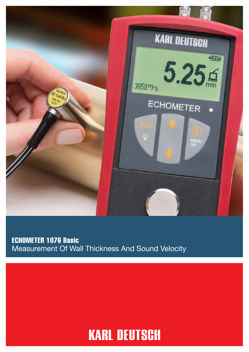

## ECHOMETER 1076 Basic Measurement Of Wall Thickness And Sound Velocity

## **KARL DEUTSCH**